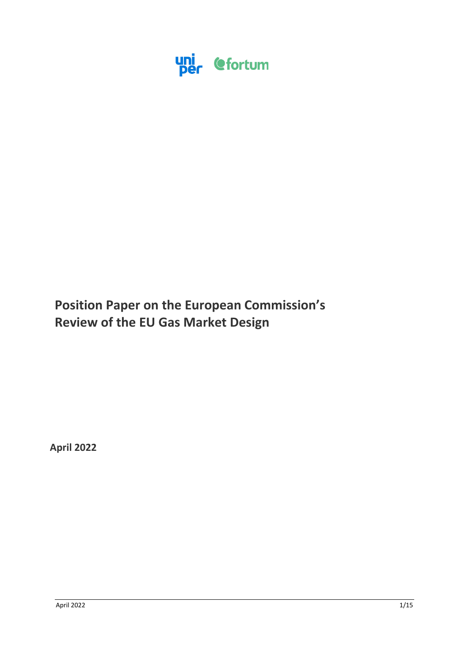

# **Position Paper on the European Commission's Review of the EU Gas Market Design**

**April 2022**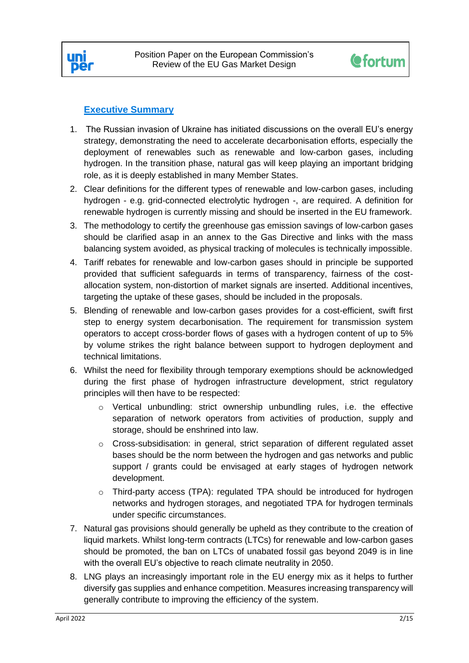



# **Executive Summary**

- 1. The Russian invasion of Ukraine has initiated discussions on the overall EU's energy strategy, demonstrating the need to accelerate decarbonisation efforts, especially the deployment of renewables such as renewable and low-carbon gases, including hydrogen. In the transition phase, natural gas will keep playing an important bridging role, as it is deeply established in many Member States.
- 2. Clear definitions for the different types of renewable and low-carbon gases, including hydrogen - e.g. grid-connected electrolytic hydrogen -, are required. A definition for renewable hydrogen is currently missing and should be inserted in the EU framework.
- 3. The methodology to certify the greenhouse gas emission savings of low-carbon gases should be clarified asap in an annex to the Gas Directive and links with the mass balancing system avoided, as physical tracking of molecules is technically impossible.
- 4. Tariff rebates for renewable and low-carbon gases should in principle be supported provided that sufficient safeguards in terms of transparency, fairness of the costallocation system, non-distortion of market signals are inserted. Additional incentives, targeting the uptake of these gases, should be included in the proposals.
- 5. Blending of renewable and low-carbon gases provides for a cost-efficient, swift first step to energy system decarbonisation. The requirement for transmission system operators to accept cross-border flows of gases with a hydrogen content of up to 5% by volume strikes the right balance between support to hydrogen deployment and technical limitations.
- 6. Whilst the need for flexibility through temporary exemptions should be acknowledged during the first phase of hydrogen infrastructure development, strict regulatory principles will then have to be respected:
	- o Vertical unbundling: strict ownership unbundling rules, i.e. the effective separation of network operators from activities of production, supply and storage, should be enshrined into law.
	- o Cross-subsidisation: in general, strict separation of different regulated asset bases should be the norm between the hydrogen and gas networks and public support / grants could be envisaged at early stages of hydrogen network development.
	- o Third-party access (TPA): regulated TPA should be introduced for hydrogen networks and hydrogen storages, and negotiated TPA for hydrogen terminals under specific circumstances.
- 7. Natural gas provisions should generally be upheld as they contribute to the creation of liquid markets. Whilst long-term contracts (LTCs) for renewable and low-carbon gases should be promoted, the ban on LTCs of unabated fossil gas beyond 2049 is in line with the overall EU's objective to reach climate neutrality in 2050.
- 8. LNG plays an increasingly important role in the EU energy mix as it helps to further diversify gas supplies and enhance competition. Measures increasing transparency will generally contribute to improving the efficiency of the system.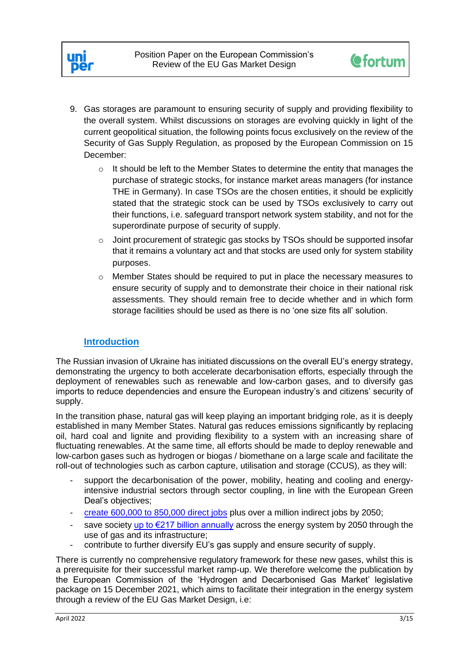



- 9. Gas storages are paramount to ensuring security of supply and providing flexibility to the overall system. Whilst discussions on storages are evolving quickly in light of the current geopolitical situation, the following points focus exclusively on the review of the Security of Gas Supply Regulation, as proposed by the European Commission on 15 December:
	- $\circ$  It should be left to the Member States to determine the entity that manages the purchase of strategic stocks, for instance market areas managers (for instance THE in Germany). In case TSOs are the chosen entities, it should be explicitly stated that the strategic stock can be used by TSOs exclusively to carry out their functions, i.e. safeguard transport network system stability, and not for the superordinate purpose of security of supply.
	- $\circ$  Joint procurement of strategic gas stocks by TSOs should be supported insofar that it remains a voluntary act and that stocks are used only for system stability purposes.
	- $\circ$  Member States should be required to put in place the necessary measures to ensure security of supply and to demonstrate their choice in their national risk assessments. They should remain free to decide whether and in which form storage facilities should be used as there is no 'one size fits all' solution.

# **Introduction**

The Russian invasion of Ukraine has initiated discussions on the overall EU's energy strategy, demonstrating the urgency to both accelerate decarbonisation efforts, especially through the deployment of renewables such as renewable and low-carbon gases, and to diversify gas imports to reduce dependencies and ensure the European industry's and citizens' security of supply.

In the transition phase, natural gas will keep playing an important bridging role, as it is deeply established in many Member States. Natural gas reduces emissions significantly by replacing oil, hard coal and lignite and providing flexibility to a system with an increasing share of fluctuating renewables. At the same time, all efforts should be made to deploy renewable and low-carbon gases such as hydrogen or biogas / biomethane on a large scale and facilitate the roll-out of technologies such as carbon capture, utilisation and storage (CCUS), as they will:

- support the decarbonisation of the power, mobility, heating and cooling and energyintensive industrial sectors through sector coupling, in line with the European Green Deal's objectives;
- [create 600,000 to 850,000 direct jobs](https://gasforclimate2050.eu/wp-content/uploads/2020/03/Navigant-Gas-for-Climate-Job-creation-by-scaling-up-renewable-gas-in-Europe.pdf) plus over a million indirect jobs by 2050;
- save society up to  $\epsilon$ 217 billion annually across the energy system by 2050 through the use of gas and its infrastructure;
- contribute to further diversify EU's gas supply and ensure security of supply.

There is currently no comprehensive regulatory framework for these new gases, whilst this is a prerequisite for their successful market ramp-up. We therefore welcome the publication by the European Commission of the 'Hydrogen and Decarbonised Gas Market' legislative package on 15 December 2021, which aims to facilitate their integration in the energy system through a review of the EU Gas Market Design, i.e: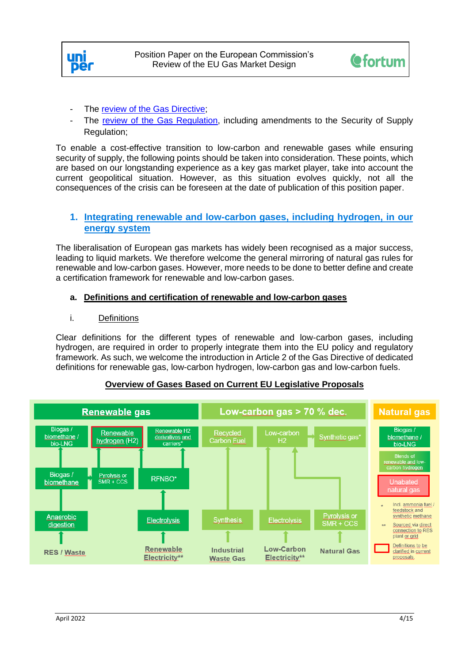



- The [review of the Gas Directive;](https://eur-lex.europa.eu/legal-content/EN/TXT/?uri=COM%3A2021%3A803%3AFIN&qid=1639664719844)
- The [review of the Gas Regulation,](https://eur-lex.europa.eu/legal-content/EN/TXT/?uri=COM%3A2021%3A804%3AFIN&qid=1639665806476) including amendments to the Security of Supply Regulation;

To enable a cost-effective transition to low-carbon and renewable gases while ensuring security of supply, the following points should be taken into consideration. These points, which are based on our longstanding experience as a key gas market player, take into account the current geopolitical situation. However, as this situation evolves quickly, not all the consequences of the crisis can be foreseen at the date of publication of this position paper.

# **1. Integrating renewable and low-carbon gases, including hydrogen, in our energy system**

The liberalisation of European gas markets has widely been recognised as a major success, leading to liquid markets. We therefore welcome the general mirroring of natural gas rules for renewable and low-carbon gases. However, more needs to be done to better define and create a certification framework for renewable and low-carbon gases.

# **a. Definitions and certification of renewable and low-carbon gases**

i. Definitions

Clear definitions for the different types of renewable and low-carbon gases, including hydrogen, are required in order to properly integrate them into the EU policy and regulatory framework. As such, we welcome the introduction in Article 2 of the Gas Directive of dedicated definitions for renewable gas, low-carbon hydrogen, low-carbon gas and low-carbon fuels.



# **Overview of Gases Based on Current EU Legislative Proposals**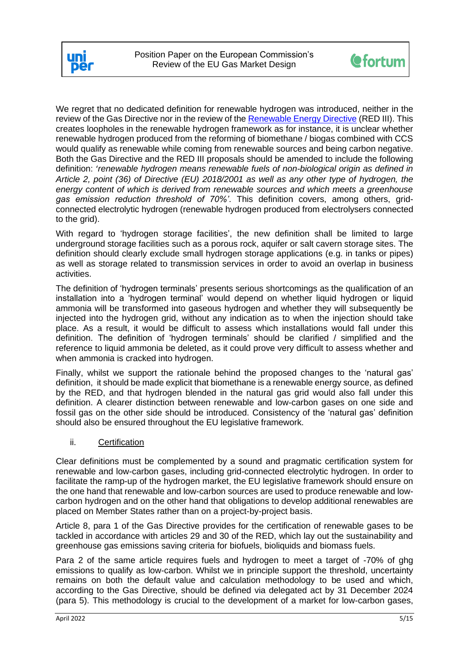



We regret that no dedicated definition for renewable hydrogen was introduced, neither in the review of the Gas Directive nor in the review of the [Renewable Energy Directive](https://ec.europa.eu/info/sites/default/files/amendment-renewable-energy-directive-2030-climate-target-with-annexes_en.pdf) (RED III). This creates loopholes in the renewable hydrogen framework as for instance, it is unclear whether renewable hydrogen produced from the reforming of biomethane / biogas combined with CCS would qualify as renewable while coming from renewable sources and being carbon negative. Both the Gas Directive and the RED III proposals should be amended to include the following definition: '*renewable hydrogen means renewable fuels of non-biological origin as defined in Article 2, point (36) of Directive (EU) 2018/2001 as well as any other type of hydrogen, the energy content of which is derived from renewable sources and which meets a greenhouse gas emission reduction threshold of 70%'*. This definition covers, among others, gridconnected electrolytic hydrogen (renewable hydrogen produced from electrolysers connected to the grid).

With regard to 'hydrogen storage facilities', the new definition shall be limited to large underground storage facilities such as a porous rock, aquifer or salt cavern storage sites. The definition should clearly exclude small hydrogen storage applications (e.g. in tanks or pipes) as well as storage related to transmission services in order to avoid an overlap in business activities.

The definition of 'hydrogen terminals' presents serious shortcomings as the qualification of an installation into a 'hydrogen terminal' would depend on whether liquid hydrogen or liquid ammonia will be transformed into gaseous hydrogen and whether they will subsequently be injected into the hydrogen grid, without any indication as to when the injection should take place. As a result, it would be difficult to assess which installations would fall under this definition. The definition of 'hydrogen terminals' should be clarified / simplified and the reference to liquid ammonia be deleted, as it could prove very difficult to assess whether and when ammonia is cracked into hydrogen.

Finally, whilst we support the rationale behind the proposed changes to the 'natural gas' definition, it should be made explicit that biomethane is a renewable energy source, as defined by the RED, and that hydrogen blended in the natural gas grid would also fall under this definition. A clearer distinction between renewable and low-carbon gases on one side and fossil gas on the other side should be introduced. Consistency of the 'natural gas' definition should also be ensured throughout the EU legislative framework.

## ii. Certification

Clear definitions must be complemented by a sound and pragmatic certification system for renewable and low-carbon gases, including grid-connected electrolytic hydrogen. In order to facilitate the ramp-up of the hydrogen market, the EU legislative framework should ensure on the one hand that renewable and low-carbon sources are used to produce renewable and lowcarbon hydrogen and on the other hand that obligations to develop additional renewables are placed on Member States rather than on a project-by-project basis.

Article 8, para 1 of the Gas Directive provides for the certification of renewable gases to be tackled in accordance with articles 29 and 30 of the RED, which lay out the sustainability and greenhouse gas emissions saving criteria for biofuels, bioliquids and biomass fuels.

Para 2 of the same article requires fuels and hydrogen to meet a target of -70% of ghg emissions to qualify as low-carbon. Whilst we in principle support the threshold, uncertainty remains on both the default value and calculation methodology to be used and which, according to the Gas Directive, should be defined via delegated act by 31 December 2024 (para 5). This methodology is crucial to the development of a market for low-carbon gases,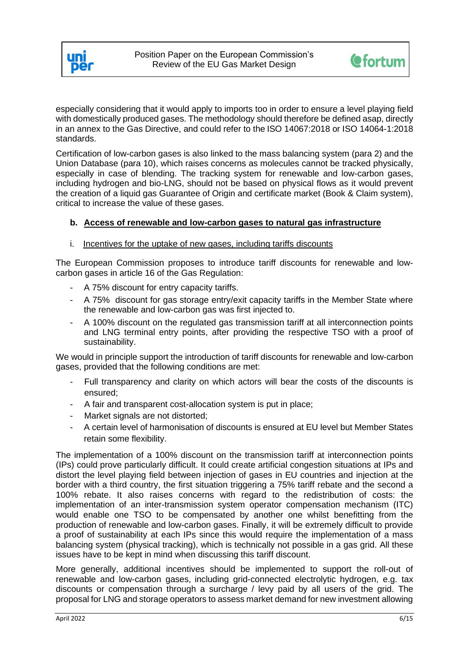



especially considering that it would apply to imports too in order to ensure a level playing field with domestically produced gases. The methodology should therefore be defined asap, directly in an annex to the Gas Directive, and could refer to the ISO 14067:2018 or ISO 14064-1:2018 standards.

Certification of low-carbon gases is also linked to the mass balancing system (para 2) and the Union Database (para 10), which raises concerns as molecules cannot be tracked physically, especially in case of blending. The tracking system for renewable and low-carbon gases, including hydrogen and bio-LNG, should not be based on physical flows as it would prevent the creation of a liquid gas Guarantee of Origin and certificate market (Book & Claim system), critical to increase the value of these gases.

## **b. Access of renewable and low-carbon gases to natural gas infrastructure**

#### i. Incentives for the uptake of new gases, including tariffs discounts

The European Commission proposes to introduce tariff discounts for renewable and lowcarbon gases in article 16 of the Gas Regulation:

- A 75% discount for entry capacity tariffs.
- A 75% discount for gas storage entry/exit capacity tariffs in the Member State where the renewable and low-carbon gas was first injected to.
- A 100% discount on the regulated gas transmission tariff at all interconnection points and LNG terminal entry points, after providing the respective TSO with a proof of sustainability.

We would in principle support the introduction of tariff discounts for renewable and low-carbon gases, provided that the following conditions are met:

- Full transparency and clarity on which actors will bear the costs of the discounts is ensured;
- A fair and transparent cost-allocation system is put in place;
- Market signals are not distorted:
- A certain level of harmonisation of discounts is ensured at EU level but Member States retain some flexibility.

The implementation of a 100% discount on the transmission tariff at interconnection points (IPs) could prove particularly difficult. It could create artificial congestion situations at IPs and distort the level playing field between injection of gases in EU countries and injection at the border with a third country, the first situation triggering a 75% tariff rebate and the second a 100% rebate. It also raises concerns with regard to the redistribution of costs: the implementation of an inter-transmission system operator compensation mechanism (ITC) would enable one TSO to be compensated by another one whilst benefitting from the production of renewable and low-carbon gases. Finally, it will be extremely difficult to provide a proof of sustainability at each IPs since this would require the implementation of a mass balancing system (physical tracking), which is technically not possible in a gas grid. All these issues have to be kept in mind when discussing this tariff discount.

More generally, additional incentives should be implemented to support the roll-out of renewable and low-carbon gases, including grid-connected electrolytic hydrogen, e.g. tax discounts or compensation through a surcharge / levy paid by all users of the grid. The proposal for LNG and storage operators to assess market demand for new investment allowing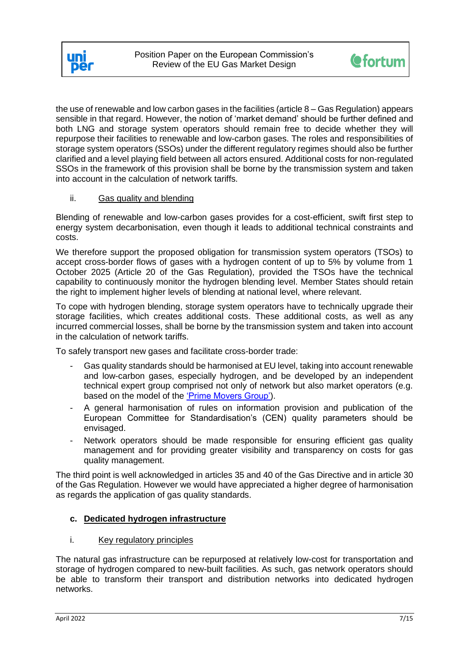



the use of renewable and low carbon gases in the facilities (article  $8 - Gas Regulation$ ) appears sensible in that regard. However, the notion of 'market demand' should be further defined and both LNG and storage system operators should remain free to decide whether they will repurpose their facilities to renewable and low-carbon gases. The roles and responsibilities of storage system operators (SSOs) under the different regulatory regimes should also be further clarified and a level playing field between all actors ensured. Additional costs for non-regulated SSOs in the framework of this provision shall be borne by the transmission system and taken into account in the calculation of network tariffs.

## ii. Gas quality and blending

Blending of renewable and low-carbon gases provides for a cost-efficient, swift first step to energy system decarbonisation, even though it leads to additional technical constraints and costs.

We therefore support the proposed obligation for transmission system operators (TSOs) to accept cross-border flows of gases with a hydrogen content of up to 5% by volume from 1 October 2025 (Article 20 of the Gas Regulation), provided the TSOs have the technical capability to continuously monitor the hydrogen blending level. Member States should retain the right to implement higher levels of blending at national level, where relevant.

To cope with hydrogen blending, storage system operators have to technically upgrade their storage facilities, which creates additional costs. These additional costs, as well as any incurred commercial losses, shall be borne by the transmission system and taken into account in the calculation of network tariffs.

To safely transport new gases and facilitate cross-border trade:

- Gas quality standards should be harmonised at EU level, taking into account renewable and low-carbon gases, especially hydrogen, and be developed by an independent technical expert group comprised not only of network but also market operators (e.g. based on the model of the ['Prime Movers Group'\)](https://www.entsog.eu/prime-movers-group-gas-quality-and-hydrogen-handling).
- A general harmonisation of rules on information provision and publication of the European Committee for Standardisation's (CEN) quality parameters should be envisaged.
- Network operators should be made responsible for ensuring efficient gas quality management and for providing greater visibility and transparency on costs for gas quality management.

The third point is well acknowledged in articles 35 and 40 of the Gas Directive and in article 30 of the Gas Regulation. However we would have appreciated a higher degree of harmonisation as regards the application of gas quality standards.

## **c. Dedicated hydrogen infrastructure**

## i. Key regulatory principles

The natural gas infrastructure can be repurposed at relatively low-cost for transportation and storage of hydrogen compared to new-built facilities. As such, gas network operators should be able to transform their transport and distribution networks into dedicated hydrogen networks.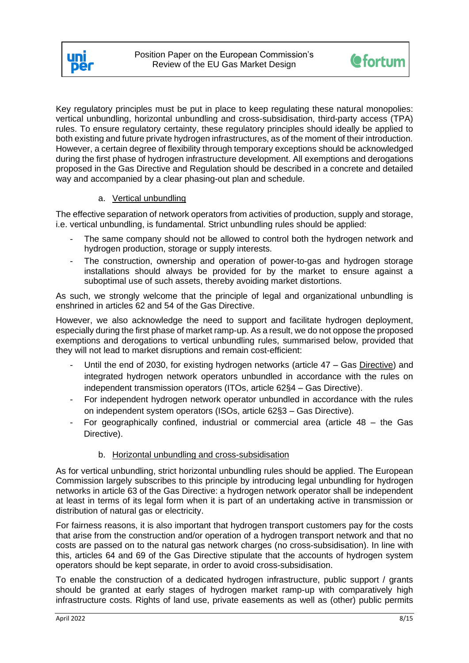



Key regulatory principles must be put in place to keep regulating these natural monopolies: vertical unbundling, horizontal unbundling and cross-subsidisation, third-party access (TPA) rules. To ensure regulatory certainty, these regulatory principles should ideally be applied to both existing and future private hydrogen infrastructures, as of the moment of their introduction. However, a certain degree of flexibility through temporary exceptions should be acknowledged during the first phase of hydrogen infrastructure development. All exemptions and derogations proposed in the Gas Directive and Regulation should be described in a concrete and detailed way and accompanied by a clear phasing-out plan and schedule.

# a. Vertical unbundling

The effective separation of network operators from activities of production, supply and storage, i.e. vertical unbundling, is fundamental. Strict unbundling rules should be applied:

- The same company should not be allowed to control both the hydrogen network and hydrogen production, storage or supply interests.
- The construction, ownership and operation of power-to-gas and hydrogen storage installations should always be provided for by the market to ensure against a suboptimal use of such assets, thereby avoiding market distortions.

As such, we strongly welcome that the principle of legal and organizational unbundling is enshrined in articles 62 and 54 of the Gas Directive.

However, we also acknowledge the need to support and facilitate hydrogen deployment, especially during the first phase of market ramp-up. As a result, we do not oppose the proposed exemptions and derogations to vertical unbundling rules, summarised below, provided that they will not lead to market disruptions and remain cost-efficient:

- Until the end of 2030, for existing hydrogen networks (article 47 Gas Directive) and integrated hydrogen network operators unbundled in accordance with the rules on independent transmission operators (ITOs, article 62§4 – Gas Directive).
- For independent hydrogen network operator unbundled in accordance with the rules on independent system operators (ISOs, article 62§3 – Gas Directive).
- For geographically confined, industrial or commercial area (article 48 the Gas Directive).

# b. Horizontal unbundling and cross-subsidisation

As for vertical unbundling, strict horizontal unbundling rules should be applied. The European Commission largely subscribes to this principle by introducing legal unbundling for hydrogen networks in article 63 of the Gas Directive: a hydrogen network operator shall be independent at least in terms of its legal form when it is part of an undertaking active in transmission or distribution of natural gas or electricity.

For fairness reasons, it is also important that hydrogen transport customers pay for the costs that arise from the construction and/or operation of a hydrogen transport network and that no costs are passed on to the natural gas network charges (no cross-subsidisation). In line with this, articles 64 and 69 of the Gas Directive stipulate that the accounts of hydrogen system operators should be kept separate, in order to avoid cross-subsidisation.

To enable the construction of a dedicated hydrogen infrastructure, public support / grants should be granted at early stages of hydrogen market ramp-up with comparatively high infrastructure costs. Rights of land use, private easements as well as (other) public permits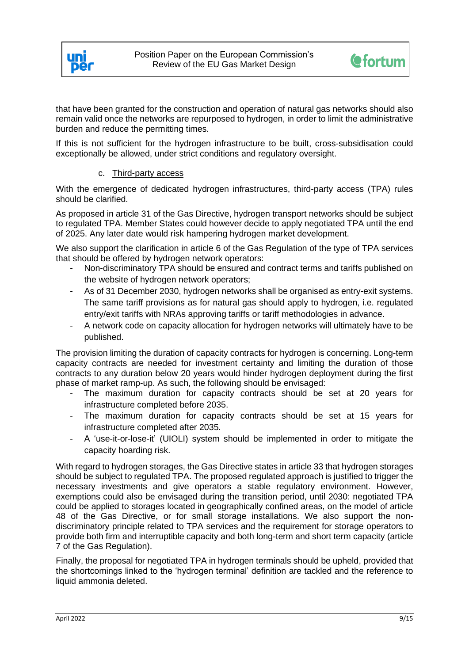



that have been granted for the construction and operation of natural gas networks should also remain valid once the networks are repurposed to hydrogen, in order to limit the administrative burden and reduce the permitting times.

If this is not sufficient for the hydrogen infrastructure to be built, cross-subsidisation could exceptionally be allowed, under strict conditions and regulatory oversight.

# c. Third-party access

With the emergence of dedicated hydrogen infrastructures, third-party access (TPA) rules should be clarified.

As proposed in article 31 of the Gas Directive, hydrogen transport networks should be subject to regulated TPA. Member States could however decide to apply negotiated TPA until the end of 2025. Any later date would risk hampering hydrogen market development.

We also support the clarification in article 6 of the Gas Regulation of the type of TPA services that should be offered by hydrogen network operators:

- Non-discriminatory TPA should be ensured and contract terms and tariffs published on the website of hydrogen network operators;
- As of 31 December 2030, hydrogen networks shall be organised as entry-exit systems. The same tariff provisions as for natural gas should apply to hydrogen, i.e. regulated entry/exit tariffs with NRAs approving tariffs or tariff methodologies in advance.
- A network code on capacity allocation for hydrogen networks will ultimately have to be published.

The provision limiting the duration of capacity contracts for hydrogen is concerning. Long-term capacity contracts are needed for investment certainty and limiting the duration of those contracts to any duration below 20 years would hinder hydrogen deployment during the first phase of market ramp-up. As such, the following should be envisaged:

- The maximum duration for capacity contracts should be set at 20 years for infrastructure completed before 2035.
- The maximum duration for capacity contracts should be set at 15 years for infrastructure completed after 2035.
- A 'use-it-or-lose-it' (UIOLI) system should be implemented in order to mitigate the capacity hoarding risk.

With regard to hydrogen storages, the Gas Directive states in article 33 that hydrogen storages should be subject to regulated TPA. The proposed regulated approach is justified to trigger the necessary investments and give operators a stable regulatory environment. However, exemptions could also be envisaged during the transition period, until 2030: negotiated TPA could be applied to storages located in geographically confined areas, on the model of article 48 of the Gas Directive, or for small storage installations. We also support the nondiscriminatory principle related to TPA services and the requirement for storage operators to provide both firm and interruptible capacity and both long-term and short term capacity (article 7 of the Gas Regulation).

Finally, the proposal for negotiated TPA in hydrogen terminals should be upheld, provided that the shortcomings linked to the 'hydrogen terminal' definition are tackled and the reference to liquid ammonia deleted.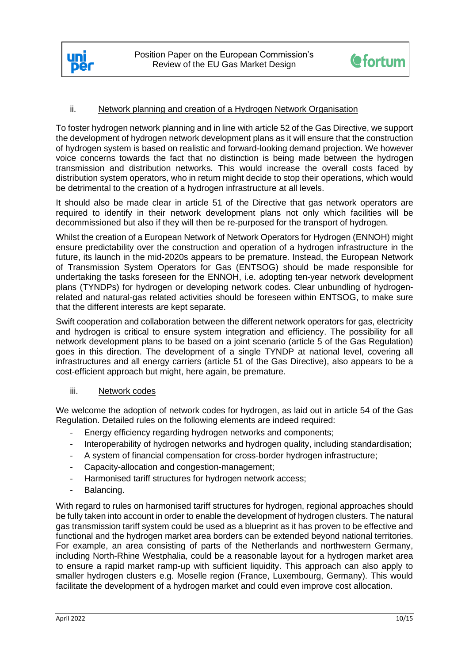



## ii. Network planning and creation of a Hydrogen Network Organisation

To foster hydrogen network planning and in line with article 52 of the Gas Directive, we support the development of hydrogen network development plans as it will ensure that the construction of hydrogen system is based on realistic and forward-looking demand projection. We however voice concerns towards the fact that no distinction is being made between the hydrogen transmission and distribution networks. This would increase the overall costs faced by distribution system operators, who in return might decide to stop their operations, which would be detrimental to the creation of a hydrogen infrastructure at all levels.

It should also be made clear in article 51 of the Directive that gas network operators are required to identify in their network development plans not only which facilities will be decommissioned but also if they will then be re-purposed for the transport of hydrogen.

Whilst the creation of a European Network of Network Operators for Hydrogen (ENNOH) might ensure predictability over the construction and operation of a hydrogen infrastructure in the future, its launch in the mid-2020s appears to be premature. Instead, the European Network of Transmission System Operators for Gas (ENTSOG) should be made responsible for undertaking the tasks foreseen for the ENNOH, i.e. adopting ten-year network development plans (TYNDPs) for hydrogen or developing network codes. Clear unbundling of hydrogenrelated and natural-gas related activities should be foreseen within ENTSOG, to make sure that the different interests are kept separate.

Swift cooperation and collaboration between the different network operators for gas, electricity and hydrogen is critical to ensure system integration and efficiency. The possibility for all network development plans to be based on a joint scenario (article 5 of the Gas Regulation) goes in this direction. The development of a single TYNDP at national level, covering all infrastructures and all energy carriers (article 51 of the Gas Directive), also appears to be a cost-efficient approach but might, here again, be premature.

## iii. Network codes

We welcome the adoption of network codes for hydrogen, as laid out in article 54 of the Gas Regulation. Detailed rules on the following elements are indeed required:

- Energy efficiency regarding hydrogen networks and components;
- Interoperability of hydrogen networks and hydrogen quality, including standardisation;
- A system of financial compensation for cross-border hydrogen infrastructure;
- Capacity-allocation and congestion-management;
- Harmonised tariff structures for hydrogen network access;
- Balancing.

With regard to rules on harmonised tariff structures for hydrogen, regional approaches should be fully taken into account in order to enable the development of hydrogen clusters. The natural gas transmission tariff system could be used as a blueprint as it has proven to be effective and functional and the hydrogen market area borders can be extended beyond national territories. For example, an area consisting of parts of the Netherlands and northwestern Germany, including North-Rhine Westphalia, could be a reasonable layout for a hydrogen market area to ensure a rapid market ramp-up with sufficient liquidity. This approach can also apply to smaller hydrogen clusters e.g. Moselle region (France, Luxembourg, Germany). This would facilitate the development of a hydrogen market and could even improve cost allocation.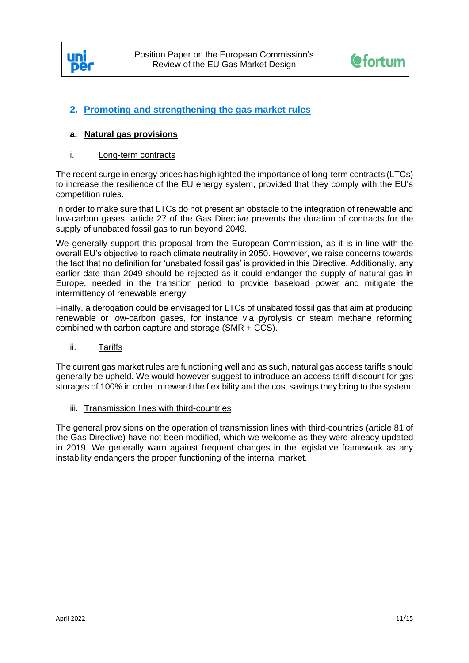



# **2. Promoting and strengthening the gas market rules**

## **a. Natural gas provisions**

#### i. Long-term contracts

The recent surge in energy prices has highlighted the importance of long-term contracts (LTCs) to increase the resilience of the EU energy system, provided that they comply with the EU's competition rules.

In order to make sure that LTCs do not present an obstacle to the integration of renewable and low-carbon gases, article 27 of the Gas Directive prevents the duration of contracts for the supply of unabated fossil gas to run beyond 2049.

We generally support this proposal from the European Commission, as it is in line with the overall EU's objective to reach climate neutrality in 2050. However, we raise concerns towards the fact that no definition for 'unabated fossil gas' is provided in this Directive. Additionally, any earlier date than 2049 should be rejected as it could endanger the supply of natural gas in Europe, needed in the transition period to provide baseload power and mitigate the intermittency of renewable energy.

Finally, a derogation could be envisaged for LTCs of unabated fossil gas that aim at producing renewable or low-carbon gases, for instance via pyrolysis or steam methane reforming combined with carbon capture and storage (SMR + CCS).

ii. Tariffs

The current gas market rules are functioning well and as such, natural gas access tariffs should generally be upheld. We would however suggest to introduce an access tariff discount for gas storages of 100% in order to reward the flexibility and the cost savings they bring to the system.

#### iii. Transmission lines with third-countries

The general provisions on the operation of transmission lines with third-countries (article 81 of the Gas Directive) have not been modified, which we welcome as they were already updated in 2019. We generally warn against frequent changes in the legislative framework as any instability endangers the proper functioning of the internal market.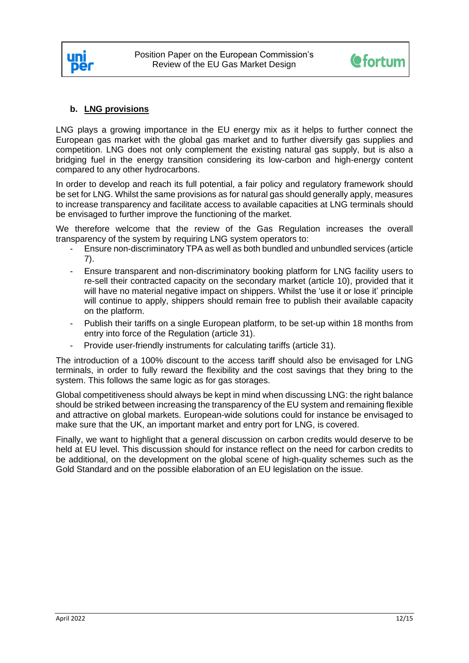



# **b. LNG provisions**

LNG plays a growing importance in the EU energy mix as it helps to further connect the European gas market with the global gas market and to further diversify gas supplies and competition. LNG does not only complement the existing natural gas supply, but is also a bridging fuel in the energy transition considering its low-carbon and high-energy content compared to any other hydrocarbons.

In order to develop and reach its full potential, a fair policy and regulatory framework should be set for LNG. Whilst the same provisions as for natural gas should generally apply, measures to increase transparency and facilitate access to available capacities at LNG terminals should be envisaged to further improve the functioning of the market.

We therefore welcome that the review of the Gas Regulation increases the overall transparency of the system by requiring LNG system operators to:

- Ensure non-discriminatory TPA as well as both bundled and unbundled services (article 7).
- Ensure transparent and non-discriminatory booking platform for LNG facility users to re-sell their contracted capacity on the secondary market (article 10), provided that it will have no material negative impact on shippers. Whilst the 'use it or lose it' principle will continue to apply, shippers should remain free to publish their available capacity on the platform.
- Publish their tariffs on a single European platform, to be set-up within 18 months from entry into force of the Regulation (article 31).
- Provide user-friendly instruments for calculating tariffs (article 31).

The introduction of a 100% discount to the access tariff should also be envisaged for LNG terminals, in order to fully reward the flexibility and the cost savings that they bring to the system. This follows the same logic as for gas storages.

Global competitiveness should always be kept in mind when discussing LNG: the right balance should be striked between increasing the transparency of the EU system and remaining flexible and attractive on global markets. European-wide solutions could for instance be envisaged to make sure that the UK, an important market and entry port for LNG, is covered.

Finally, we want to highlight that a general discussion on carbon credits would deserve to be held at EU level. This discussion should for instance reflect on the need for carbon credits to be additional, on the development on the global scene of high-quality schemes such as the Gold Standard and on the possible elaboration of an EU legislation on the issue.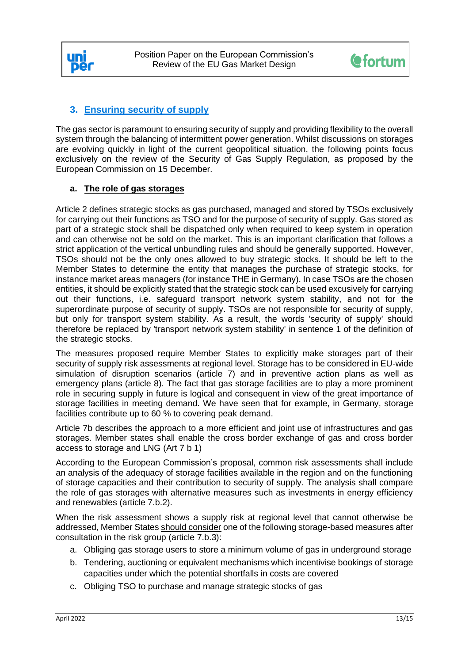



# **3. Ensuring security of supply**

The gas sector is paramount to ensuring security of supply and providing flexibility to the overall system through the balancing of intermittent power generation. Whilst discussions on storages are evolving quickly in light of the current geopolitical situation, the following points focus exclusively on the review of the Security of Gas Supply Regulation, as proposed by the European Commission on 15 December.

## **a. The role of gas storages**

Article 2 defines strategic stocks as gas purchased, managed and stored by TSOs exclusively for carrying out their functions as TSO and for the purpose of security of supply. Gas stored as part of a strategic stock shall be dispatched only when required to keep system in operation and can otherwise not be sold on the market. This is an important clarification that follows a strict application of the vertical unbundling rules and should be generally supported. However, TSOs should not be the only ones allowed to buy strategic stocks. It should be left to the Member States to determine the entity that manages the purchase of strategic stocks, for instance market areas managers (for instance THE in Germany). In case TSOs are the chosen entities, it should be explicitly stated that the strategic stock can be used excusively for carrying out their functions, i.e. safeguard transport network system stability, and not for the superordinate purpose of security of supply. TSOs are not responsible for security of supply, but only for transport system stability. As a result, the words 'security of supply' should therefore be replaced by 'transport network system stability' in sentence 1 of the definition of the strategic stocks.

The measures proposed require Member States to explicitly make storages part of their security of supply risk assessments at regional level. Storage has to be considered in EU-wide simulation of disruption scenarios (article 7) and in preventive action plans as well as emergency plans (article 8). The fact that gas storage facilities are to play a more prominent role in securing supply in future is logical and consequent in view of the great importance of storage facilities in meeting demand. We have seen that for example, in Germany, storage facilities contribute up to 60 % to covering peak demand.

Article 7b describes the approach to a more efficient and joint use of infrastructures and gas storages. Member states shall enable the cross border exchange of gas and cross border access to storage and LNG (Art 7 b 1)

According to the European Commission's proposal, common risk assessments shall include an analysis of the adequacy of storage facilities available in the region and on the functioning of storage capacities and their contribution to security of supply. The analysis shall compare the role of gas storages with alternative measures such as investments in energy efficiency and renewables (article 7.b.2).

When the risk assessment shows a supply risk at regional level that cannot otherwise be addressed, Member States should consider one of the following storage-based measures after consultation in the risk group (article 7.b.3):

- a. Obliging gas storage users to store a minimum volume of gas in underground storage
- b. Tendering, auctioning or equivalent mechanisms which incentivise bookings of storage capacities under which the potential shortfalls in costs are covered
- c. Obliging TSO to purchase and manage strategic stocks of gas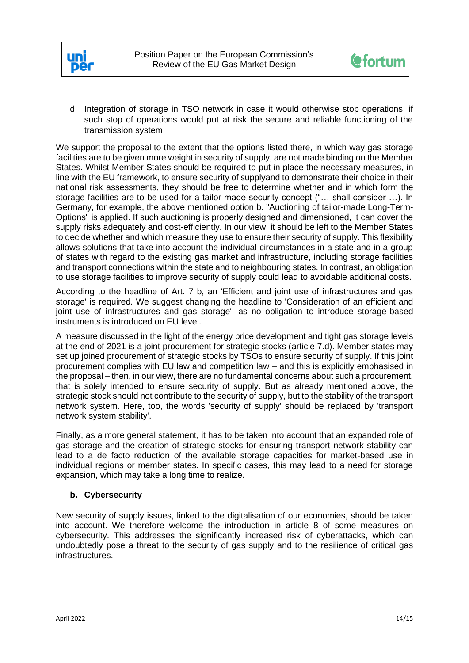



d. Integration of storage in TSO network in case it would otherwise stop operations, if such stop of operations would put at risk the secure and reliable functioning of the transmission system

We support the proposal to the extent that the options listed there, in which way gas storage facilities are to be given more weight in security of supply, are not made binding on the Member States. Whilst Member States should be required to put in place the necessary measures, in line with the EU framework, to ensure security of supplyand to demonstrate their choice in their national risk assessments, they should be free to determine whether and in which form the storage facilities are to be used for a tailor-made security concept ("… shall consider …). In Germany, for example, the above mentioned option b. "Auctioning of tailor-made Long-Term-Options" is applied. If such auctioning is properly designed and dimensioned, it can cover the supply risks adequately and cost-efficiently. In our view, it should be left to the Member States to decide whether and which measure they use to ensure their security of supply. This flexibility allows solutions that take into account the individual circumstances in a state and in a group of states with regard to the existing gas market and infrastructure, including storage facilities and transport connections within the state and to neighbouring states. In contrast, an obligation to use storage facilities to improve security of supply could lead to avoidable additional costs.

According to the headline of Art. 7 b, an 'Efficient and joint use of infrastructures and gas storage' is required. We suggest changing the headline to 'Consideration of an efficient and joint use of infrastructures and gas storage', as no obligation to introduce storage-based instruments is introduced on EU level.

A measure discussed in the light of the energy price development and tight gas storage levels at the end of 2021 is a joint procurement for strategic stocks (article 7.d). Member states may set up joined procurement of strategic stocks by TSOs to ensure security of supply. If this joint procurement complies with EU law and competition law – and this is explicitly emphasised in the proposal – then, in our view, there are no fundamental concerns about such a procurement, that is solely intended to ensure security of supply. But as already mentioned above, the strategic stock should not contribute to the security of supply, but to the stability of the transport network system. Here, too, the words 'security of supply' should be replaced by 'transport network system stability'.

Finally, as a more general statement, it has to be taken into account that an expanded role of gas storage and the creation of strategic stocks for ensuring transport network stability can lead to a de facto reduction of the available storage capacities for market-based use in individual regions or member states. In specific cases, this may lead to a need for storage expansion, which may take a long time to realize.

## **b. Cybersecurity**

New security of supply issues, linked to the digitalisation of our economies, should be taken into account. We therefore welcome the introduction in article 8 of some measures on cybersecurity. This addresses the significantly increased risk of cyberattacks, which can undoubtedly pose a threat to the security of gas supply and to the resilience of critical gas infrastructures.